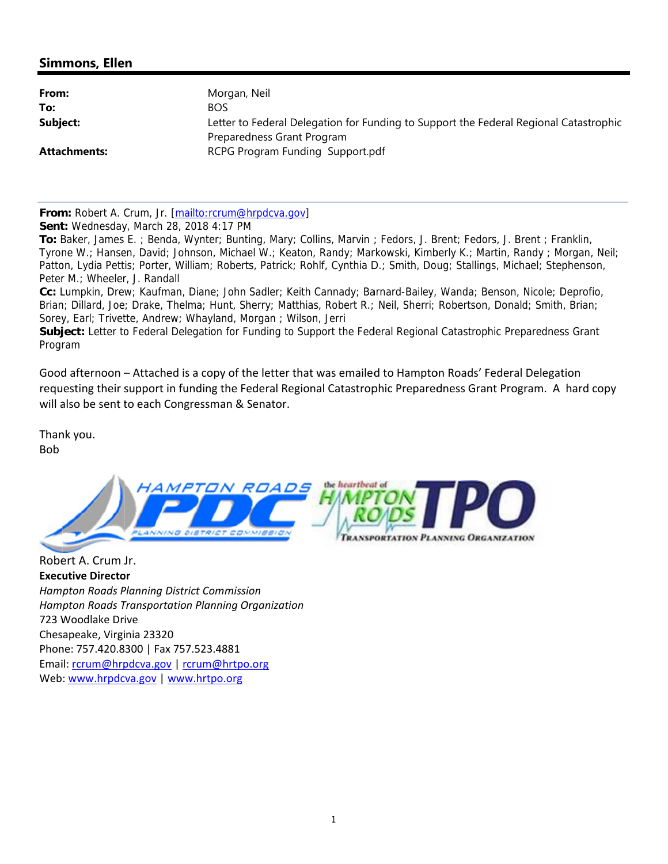## **Simmons, Ellen**

| From:        | Morgan, Neil                                                                          |  |
|--------------|---------------------------------------------------------------------------------------|--|
| To:          | <b>BOS</b>                                                                            |  |
| Subject:     | Letter to Federal Delegation for Funding to Support the Federal Regional Catastrophic |  |
|              | Preparedness Grant Program                                                            |  |
| Attachments: | RCPG Program Funding Support.pdf                                                      |  |
|              |                                                                                       |  |

From: Robert A. Crum. Jr. [mailto:rcrum@hrpdcva.gov]

Sent: Wednesday, March 28, 2018 4:17 PM

To: Baker, James E.; Benda, Wynter; Bunting, Mary; Collins, Marvin; Fedors, J. Brent; Fedors, J. Brent; Franklin, Tyrone W.; Hansen, David; Johnson, Michael W.; Keaton, Randy; Markowski, Kimberly K.; Martin, Randy; Morgan, Neil; Patton, Lydia Pettis; Porter, William; Roberts, Patrick; Rohlf, Cynthia D.; Smith, Doug; Stallings, Michael; Stephenson, Peter M.; Wheeler, J. Randall

Cc: Lumpkin, Drew; Kaufman, Diane; John Sadler; Keith Cannady; Barnard-Bailey, Wanda; Benson, Nicole; Deprofio, Brian; Dillard, Joe; Drake, Thelma; Hunt, Sherry; Matthias, Robert R.; Neil, Sherri; Robertson, Donald; Smith, Brian; Sorey, Earl; Trivette, Andrew; Whayland, Morgan; Wilson, Jerri

Subject: Letter to Federal Delegation for Funding to Support the Federal Regional Catastrophic Preparedness Grant Program

Good afternoon – Attached is a copy of the letter that was emailed to Hampton Roads' Federal Delegation requesting their support in funding the Federal Regional Catastrophic Preparedness Grant Program. A hard copy will also be sent to each Congressman & Senator.

Thank you. **Bob** 



Robert A. Crum Jr. **Executive Director Hampton Roads Planning District Commission Hampton Roads Transportation Planning Organization** 723 Woodlake Drive Chesapeake, Virginia 23320 Phone: 757.420.8300 | Fax 757.523.4881 Email: rcrum@hrpdcva.gov | rcrum@hrtpo.org Web: www.hrpdcva.gov | www.hrtpo.org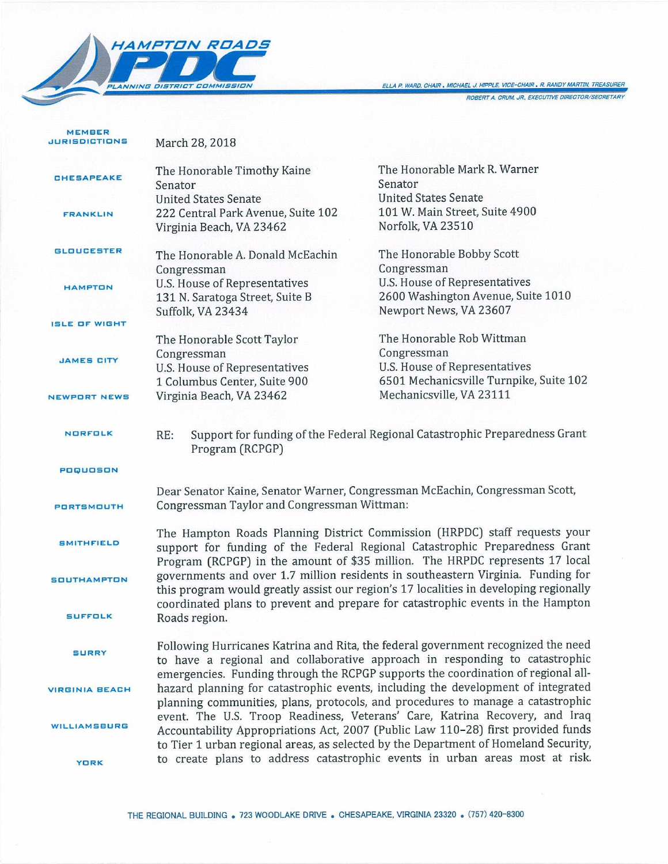

MEMBER

ELLA P. WARD, CHAIR . MICHAEL J. HIPPLE, VICE-CHAIR . R. RANDY MARTIN, TREASURER

ROBERT A. CRUM, JR., EXECUTIVE DIRECTOR/SECRETARY

| <b>JURISDICTIONS</b>  | March 28, 2018                                                                                                                                                                                                                                                                                                                                                                                                                |                                                                                                              |  |
|-----------------------|-------------------------------------------------------------------------------------------------------------------------------------------------------------------------------------------------------------------------------------------------------------------------------------------------------------------------------------------------------------------------------------------------------------------------------|--------------------------------------------------------------------------------------------------------------|--|
| <b>CHESAPEAKE</b>     | The Honorable Timothy Kaine<br>Senator                                                                                                                                                                                                                                                                                                                                                                                        | The Honorable Mark R. Warner<br>Senator                                                                      |  |
| <b>FRANKLIN</b>       | <b>United States Senate</b><br>222 Central Park Avenue, Suite 102<br>Virginia Beach, VA 23462                                                                                                                                                                                                                                                                                                                                 | <b>United States Senate</b><br>101 W. Main Street, Suite 4900<br>Norfolk, VA 23510                           |  |
| <b>GLOUCESTER</b>     | The Honorable A. Donald McEachin                                                                                                                                                                                                                                                                                                                                                                                              | The Honorable Bobby Scott                                                                                    |  |
| <b>HAMPTON</b>        | Congressman<br>U.S. House of Representatives<br>131 N. Saratoga Street, Suite B<br>Suffolk, VA 23434                                                                                                                                                                                                                                                                                                                          | Congressman<br>U.S. House of Representatives<br>2600 Washington Avenue, Suite 1010<br>Newport News, VA 23607 |  |
| <b>ISLE OF WIGHT</b>  |                                                                                                                                                                                                                                                                                                                                                                                                                               |                                                                                                              |  |
|                       | The Honorable Scott Taylor<br>Congressman                                                                                                                                                                                                                                                                                                                                                                                     | The Honorable Rob Wittman<br>Congressman                                                                     |  |
| <b>JAMES CITY</b>     | <b>U.S. House of Representatives</b><br>1 Columbus Center, Suite 900                                                                                                                                                                                                                                                                                                                                                          | U.S. House of Representatives<br>6501 Mechanicsville Turnpike, Suite 102                                     |  |
| <b>NEWPORT NEWS</b>   | Virginia Beach, VA 23462                                                                                                                                                                                                                                                                                                                                                                                                      | Mechanicsville, VA 23111                                                                                     |  |
| <b>NORFOLK</b>        | Support for funding of the Federal Regional Catastrophic Preparedness Grant<br>RE:<br>Program (RCPGP)                                                                                                                                                                                                                                                                                                                         |                                                                                                              |  |
| POQUOSON              |                                                                                                                                                                                                                                                                                                                                                                                                                               |                                                                                                              |  |
| PORTSMOUTH            | Dear Senator Kaine, Senator Warner, Congressman McEachin, Congressman Scott,<br>Congressman Taylor and Congressman Wittman:                                                                                                                                                                                                                                                                                                   |                                                                                                              |  |
| <b>SMITHFIELD</b>     | The Hampton Roads Planning District Commission (HRPDC) staff requests your<br>support for funding of the Federal Regional Catastrophic Preparedness Grant<br>Program (RCPGP) in the amount of \$35 million. The HRPDC represents 17 local                                                                                                                                                                                     |                                                                                                              |  |
| <b>SOUTHAMPTON</b>    | governments and over 1.7 million residents in southeastern Virginia. Funding for<br>this program would greatly assist our region's 17 localities in developing regionally                                                                                                                                                                                                                                                     |                                                                                                              |  |
| <b>SUFFOLK</b>        | coordinated plans to prevent and prepare for catastrophic events in the Hampton<br>Roads region.                                                                                                                                                                                                                                                                                                                              |                                                                                                              |  |
| <b>SURRY</b>          | Following Hurricanes Katrina and Rita, the federal government recognized the need<br>to have a regional and collaborative approach in responding to catastrophic<br>emergencies. Funding through the RCPGP supports the coordination of regional all-                                                                                                                                                                         |                                                                                                              |  |
| <b>VIRGINIA BEACH</b> | hazard planning for catastrophic events, including the development of integrated<br>planning communities, plans, protocols, and procedures to manage a catastrophic<br>event. The U.S. Troop Readiness, Veterans' Care, Katrina Recovery, and Iraq<br>Accountability Appropriations Act, 2007 (Public Law 110-28) first provided funds<br>to Tier 1 urban regional areas, as selected by the Department of Homeland Security, |                                                                                                              |  |
| WILLIAMSBURG          |                                                                                                                                                                                                                                                                                                                                                                                                                               |                                                                                                              |  |
| <b>YORK</b>           |                                                                                                                                                                                                                                                                                                                                                                                                                               | to create plans to address catastrophic events in urban areas most at risk.                                  |  |